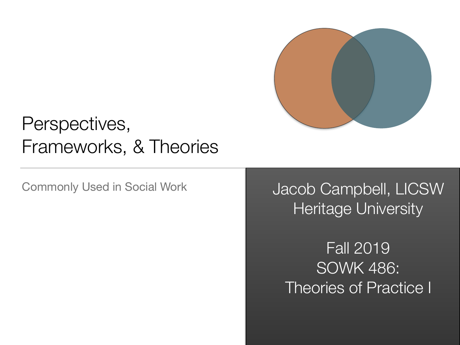

#### Perspectives, Frameworks, & Theories

Commonly Used in Social Work Jacob Campbell, LICSW **Heritage University** 

> Fall 2019 SOWK 486: Theories of Practice I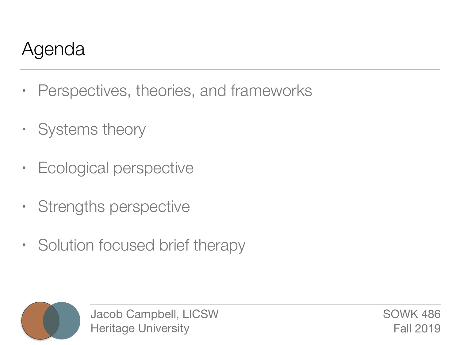## Agenda

- Perspectives, theories, and frameworks
- Systems theory
- Ecological perspective
- Strengths perspective
- Solution focused brief therapy



Jacob Campbell, LICSW Heritage University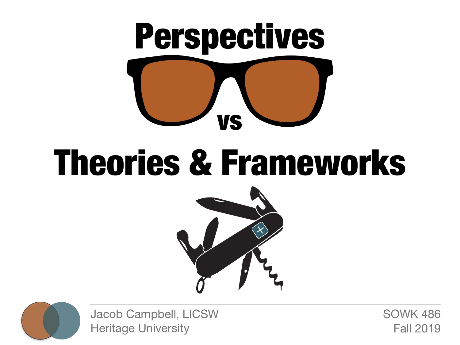

# Theories & Frameworks





Jacob Campbell, LICSW Heritage University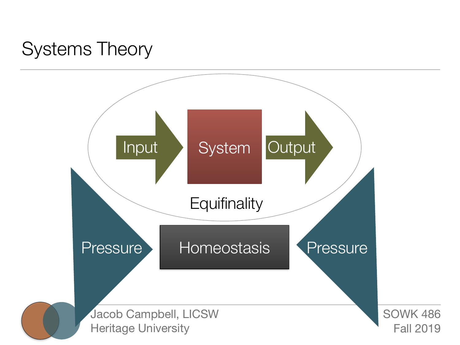#### Systems Theory

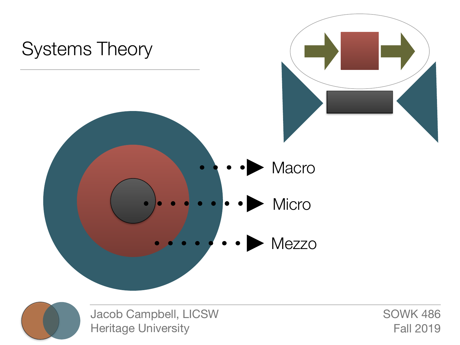



Jacob Campbell, LICSW Heritage University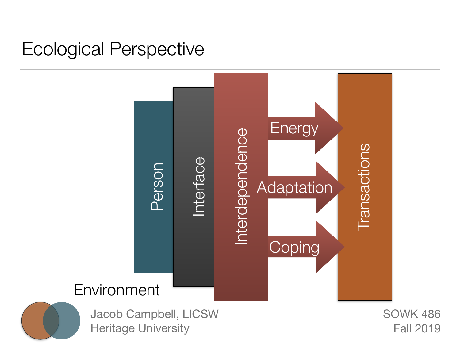#### Ecological Perspective

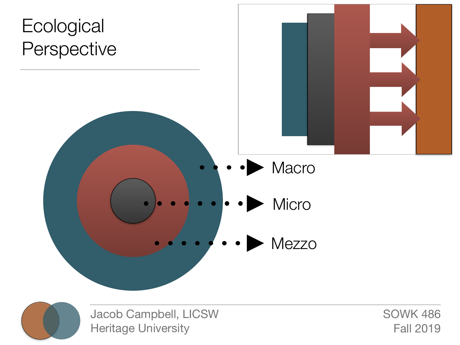



Jacob Campbell, LICSW Heritage University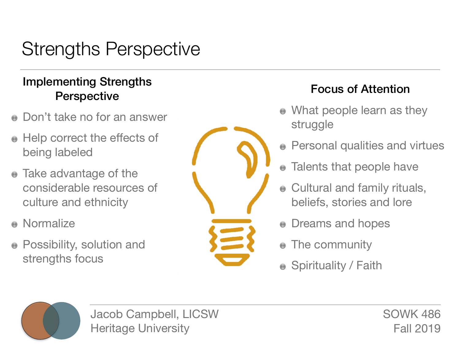# Strengths Perspective

#### Implementing Strengths Perspective Focus of Attention

- Don't take no for an answer
- Help correct the effects of being labeled
- Take advantage of the considerable resources of culture and ethnicity
- **•** Normalize
- **Possibility, solution and** strengths focus



- What people learn as they struggle
- **Personal qualities and virtues**
- Talents that people have  $\begin{pmatrix} 1 & 1 \\ 1 & 1 \end{pmatrix}$
- Cultural and family rituals, beliefs, stories and lore
- Dreams and hopes
- The community
- Spirituality / Faith



Jacob Campbell, LICSW Heritage University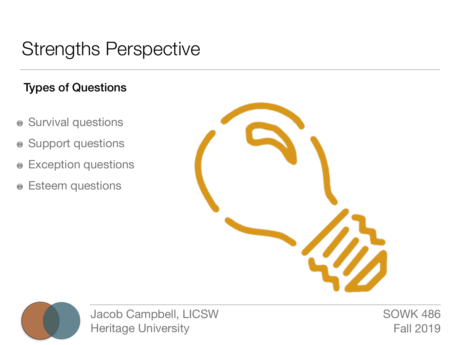#### Strengths Perspective

#### Types of Questions

- **Survival questions**
- Support questions
- Exception questions
- **e** Esteem questions





Jacob Campbell, LICSW Heritage University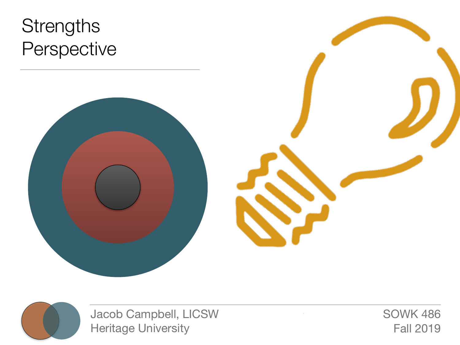# **Strengths** Perspective





Jacob Campbell, LICSW Heritage University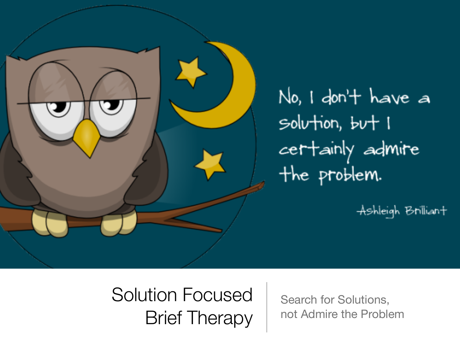

No, I don't have a solution, but I certainly admire the problem.

Ashleigh Brillian+

# Solution Focused Brief Therapy

Search for Solutions, not Admire the Problem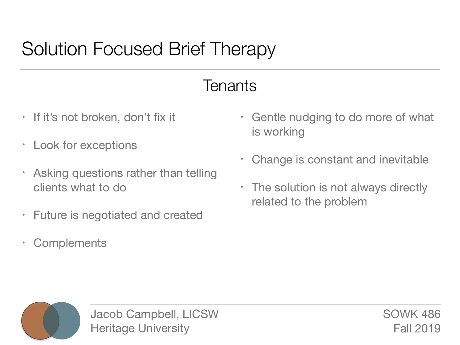#### **Tenants**

- If it's not broken, don't fix it
- Look for exceptions
- Asking questions rather than telling clients what to do
- Future is negotiated and created
- Complements
- Gentle nudging to do more of what is working
- Change is constant and inevitable
- The solution is not always directly related to the problem



Jacob Campbell, LICSW Heritage University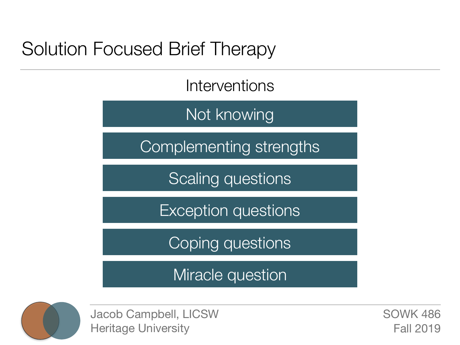Interventions

Not knowing

Complementing strengths

Scaling questions

Exception questions

Coping questions

Miracle question



Jacob Campbell, LICSW Heritage University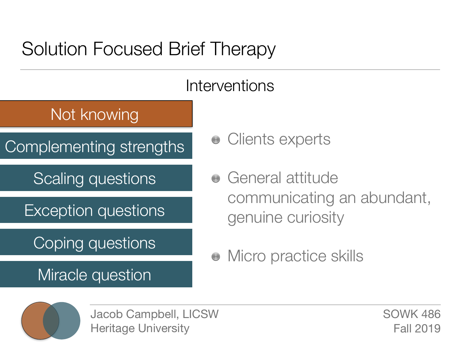

- - Clients experts
	- General attitude  $\begin{pmatrix} 1 \\ -1 \end{pmatrix}$ communicating an abundant, genuine curiosity
	- Micro practice skills



Jacob Campbell, LICSW Heritage University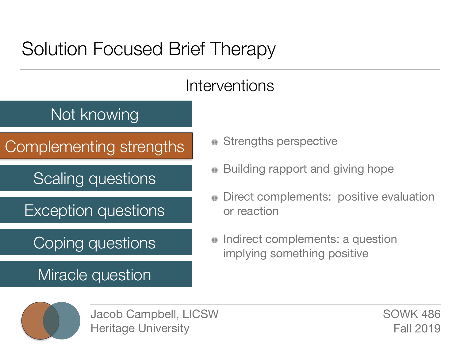#### Interventions

#### Not knowing

Complementing strengths

Scaling questions

Exception questions

#### Coping questions

Miracle question

- Strengths perspective
- Building rapport and giving hope
- Direct complements: positive evaluation or reaction
- Indirect complements: a question  $\bigodot$ implying something positive



Jacob Campbell, LICSW Heritage University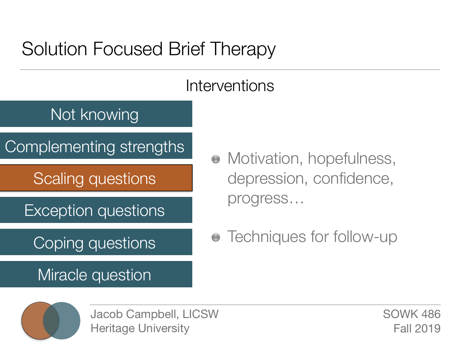#### Interventions

#### Not knowing

Complementing strengths

Scaling questions

Exception questions

Coping questions

Miracle question

- Motivation, hopefulness, depression, confidence, progress…
- Techniques for follow-up



Jacob Campbell, LICSW Heritage University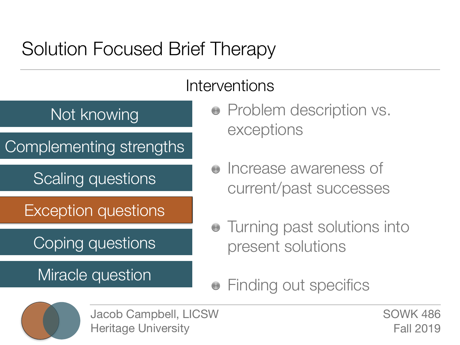

- Problem description vs. exceptions
- $\bullet$  Increase awareness of current/past successes
- Turning past solutions into present solutions
- Finding out specifics $\begin{pmatrix} 1 \\ 1 \\ 2 \end{pmatrix}$



Jacob Campbell, LICSW Heritage University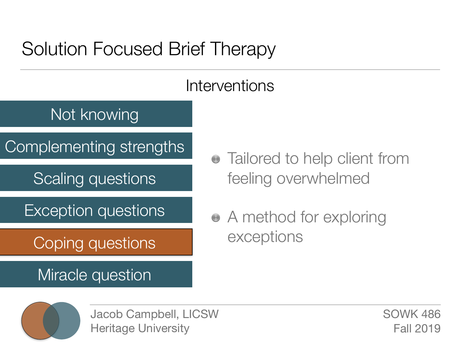#### Interventions

#### Not knowing

Complementing strengths

Scaling questions

Exception questions

Coping questions

Miracle question

- Tailored to help client from feeling overwhelmed
- A method for exploring exceptions



Jacob Campbell, LICSW Heritage University